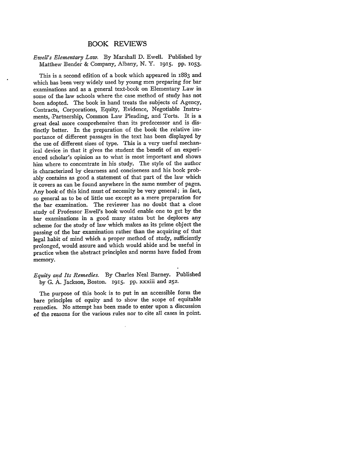## BOOK REVIEWS

### *Ewell's Elementary Law.* By Marshall **D.** Ewell. Published by Matthew Bender & Company, Albany, N.Y. 1915. pp. 1053.

This is a second edition of a book which appeared in 1883 and which has been very widely used by young men preparing for bar examinations and as a general text-book on Elementary Law in some of the law schools where the case method of study has not been adopted. The book in hand treats the subjects of Agency, Contracts, Corporations, Equity, Evidence, Negotiable Instruments, Partnership, Common Law Pleading, and Torts. It is a great deal more comprehensive than its predecessor and is distinctly better. In the preparation of the book the relative importance of different passages in the text has been displayed by the use of different sizes of type. This is a very useful mechanical device in that it gives the student the benefit of an experienced scholar's opinion as to what is most important and shows him where to concentrate in his study. The style of the author is characterized by clearness and conciseness and his book probably contains as good a statement of that part of the law which it covers as can be found anywhere in the same number of pages. Any book of this kind must of necessity be very general; in fact, so general as to be of little use except as a mere preparation for the bar examination. The reviewer has no doubt that a close study of Professor Ewell's book would enable one to get by the bar examinations in a good many states but he deplores any scheme for the study of law which makes as its prime object the passing of the bar examination rather than the acquiring of that legal habit of mind which a proper method of study, sufficiently prolonged, would assure and which would abide and be useful in practice when the abstract principles and norms have faded from memory.

*Equity and Its Remedies.* By Charles Neal Barney. Published by G. A. Jackson, Boston. 1915. pp. xxxiii and **252.**

The purpose of this book is to put in an accessible form the bare principles of equity and to show the scope of equitable remedies. No attempt has been made to enter upon a discussion of the reasons for the various rules nor to cite all cases in point.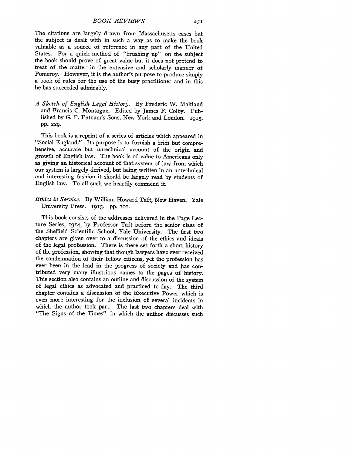*BOOK REVIEWS*

The citations are largely drawn from Massachusetts cases but the subject is dealt with in such a way as to make the book valuable as a source of reference in any part of the United States. For a quick method of "brushing up" on the subject the book should prove of great value but it does not pretend to treat of the matter in the extensive and scholarly manner of Pomeroy. However, it is the author's purpose to produce simply a book of rules for the use of the busy practitioner and in this he has succeeded admirably.

*A Sketch of English Legal History.* By Frederic W. Maitland and Francis C. Montague. Edited by James F. Colby. Published by G. P. Putnam's Sons, New York and London. 1915. pp. **229.**

This book is a reprint of a series of articles which appeared in "Social England." Its purpose is to furnish a brief but comprehensive, accurate but untechnical account of the origin and growth of English law. The book is of value to Americans only as giving an historical account of that system of law from which our system is largely derived, but being written in an untechnical and interesting fashion it should be largely read by students of English law. To all such we heartily commend it.

*Ethics in Service.* By William Howard Taft, New Haven. Yale University Press. 1915. pp. IOI.

This book consists of the addresses delivered in the Page Lecture Series, 1914, by Professor Taft before the senior class of the Sheffield Scientific School, Yale University. The first two chapters are given over to a discussion of the ethics and ideals of the legal profession. There is there set forth a short history of the profession, showing that though lawyers have ever received the condemnation of their fellow citizens, yet the profession has ever been in the lead in the progress of society and has contributed very many illustrious names to the pages of history. This section also contains an outline and discussion of the system of legal ethics as advocated and practiced to-day. The third chapter contains a discussion of the Executive Power which is even more interesting for the inclusion of several incidents in which the author took part. The last two chapters deal with "The Signs of the Times" in which the author discusses such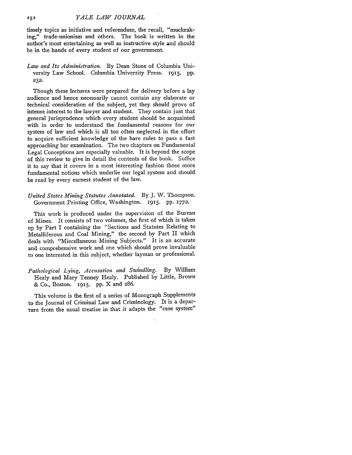timely topics as initiative and referendum, the recall, "muckraking," trade-unionism and others. The book is written in the author's most entertaining as well as instructive style and should be in the hands of every student of our government.

#### *Law and Its Administration.* By Dean Stone of Columbia University Law School. Columbia University Press. **1915.** pp. **232.**

Though these lectures were prepared for delivery before a lay audience and hence necessarily cannot contain any elaborate or technical consideration of the subject, yet they should prove of intense interest to the lawyer and student. They contain just that general jurisprudence which every student should be acquainted with in order to understand the fundamental reasons for our system of law and which is all too often neglected in the effort to acquire sufficient knowledge of the bare rules to pass a fast approaching bar examination. The two chapters on Fundamental Legal Conceptions are especially valuable. It is beyond the scope of this review to give in detail the contents of the book. Suffice it to say that it covers in a most interesting fashion those more fundamental notions which underlie our legal system and should be read by every earnest student of the law.

#### *United States Mining Statutes Annotated.* **By J.** W. Thompson. Government Printing Office, Washington. 1915. pp. 1772.

This work is produced under the supervision of the Bureau of Mines. It consists of two volumes, the first of which is taken up by Part I containing the "Sections and Statutes Relating to Metalliferous and Coal Mining," the second by Part II which deals with "Miscellaneous Mining Subjects." It is an accurate and comprehensive work and one which should prove invaluable to one interested in this subject, whether layman or professional.

# *Pathological Lying, Accusation and Swindling.* By William Healy and Mary Tenney Healy. Published by Little, Brown & Co., Boston. 1915. pp. X and 286.

This volume is the first of a series of Monograph Supplements to the Journal of Criminal Law and Criminology. It is a departure from the usual treatise in that it adapts the "case system"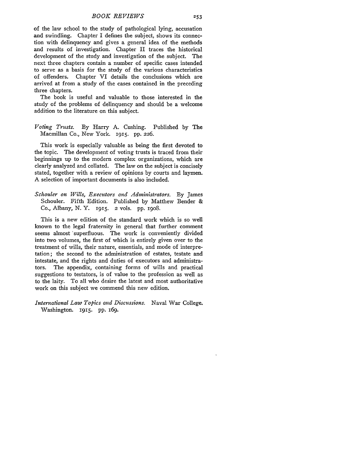*BOOK REVIEWS*

of the law school to the study of pathological lying, accusation and swindling. Chapter I defines the subject, shows its connection with delinquency and gives a general idea of the methods and results of investigation. Chapter II traces the historical development of the study and investigation of the subject. The next three chapters contain a number of specific cases intended to serve as a basis for the study of the various characteristics of offenders. Chapter VI details the conclusions which are arrived at from a study of the cases contained in the preceding three chapters.

The book is useful and valuable to those interested in the study of the problems of delinquency and should be a welcome addition to the literature on this subject.

This work is especially valuable as being the first devoted to the topic. The development of voting trusts is traced from their beginnings up to the modern complex organizations, which are clearly analyzed and collated. The law on the subject is concisely stated, together with a review of opinions **by** courts and laymen. **A** selection of important documents is also included.

*Schouler on Wills, Executors and Administrators.* **By** James Schouler. Fifth Edition. Published **by** Matthew Bender & Co., Albany, **N.** Y. **1915. 2** vols. **pp.** 19o8.

This is a new edition of the standard work which is so well known to the legal fraternity in general that further comment seems almost 'superfluous. The work is conveniently divided into two volumes, the first of which is entirely given over to the treatment of wills, their nature, essentials, and mode of interpretation; the second to the administration of estates, testate and intestate, and the rights and duties of executors and administrators. The appendix, containing forms of wills and practical suggestions to testators, is of value to the profession as well as to the laity. To all who desire the latest and most authoritative work on this subject we commend this new edition.

*International Law Topics and Discussions.* Naval War College. Washington. **1915. pp.** 169.

*Voting Trusts.* **By** Harry **A.** Cushing. Published **by** The Macmillan Co., New York. **1915. pp. 226.**